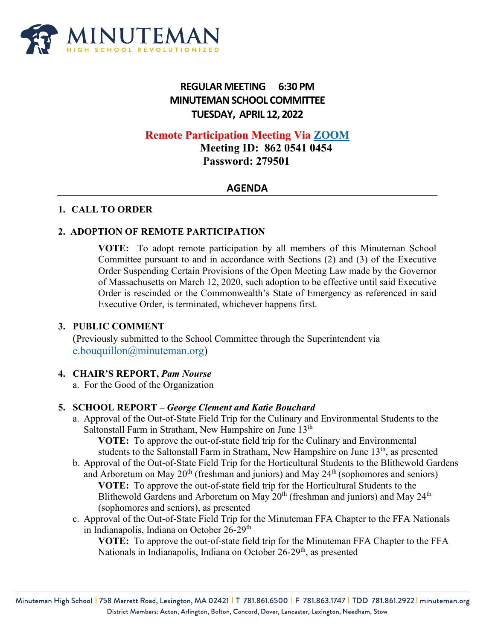

# **REGULAR MEETING 6:30 PM MINUTEMAN SCHOOL COMMITTEE TUESDAY, APRIL 12, 2022**

# **Remote Participation Meeting Via [ZOOM](https://us06web.zoom.us/j/86205410454?pwd=ZCtNcGsxckhPNGJKOU9JZ1dTUU9CQT09)**

 **Meeting ID: 862 0541 0454 Password: 279501**

## **AGENDA**

#### **1. CALL TO ORDER**

## **2. ADOPTION OF REMOTE PARTICIPATION**

**VOTE:** To adopt remote participation by all members of this Minuteman School Committee pursuant to and in accordance with Sections (2) and (3) of the Executive Order Suspending Certain Provisions of the Open Meeting Law made by the Governor of Massachusetts on March 12, 2020, such adoption to be effective until said Executive Order is rescinded or the Commonwealth's State of Emergency as referenced in said Executive Order, is terminated, whichever happens first.

#### **3. PUBLIC COMMENT**

(Previously submitted to the School Committee through the Superintendent via [e.bouquillon@minuteman.org\)](mailto:e.bouquillon@minuteman.org)

#### **4. CHAIR'S REPORT,** *Pam Nourse*

a. For the Good of the Organization

#### **5. SCHOOL REPORT –** *George Clement and Katie Bouchard*

a. Approval of the Out-of-State Field Trip for the Culinary and Environmental Students to the Saltonstall Farm in Stratham, New Hampshire on June 13<sup>th</sup>

**VOTE:** To approve the out-of-state field trip for the Culinary and Environmental students to the Saltonstall Farm in Stratham, New Hampshire on June 13<sup>th</sup>, as presented

- b. Approval of the Out-of-State Field Trip for the Horticultural Students to the Blithewold Gardens and Arboretum on May  $20<sup>th</sup>$  (freshman and juniors) and May  $24<sup>th</sup>$  (sophomores and seniors) **VOTE:** To approve the out-of-state field trip for the Horticultural Students to the Blithewold Gardens and Arboretum on May  $20<sup>th</sup>$  (freshman and juniors) and May  $24<sup>th</sup>$ (sophomores and seniors), as presented
- c. Approval of the Out-of-State Field Trip for the Minuteman FFA Chapter to the FFA Nationals in Indianapolis, Indiana on October 26-29<sup>th</sup>

**VOTE:** To approve the out-of-state field trip for the Minuteman FFA Chapter to the FFA Nationals in Indianapolis, Indiana on October 26-29<sup>th</sup>, as presented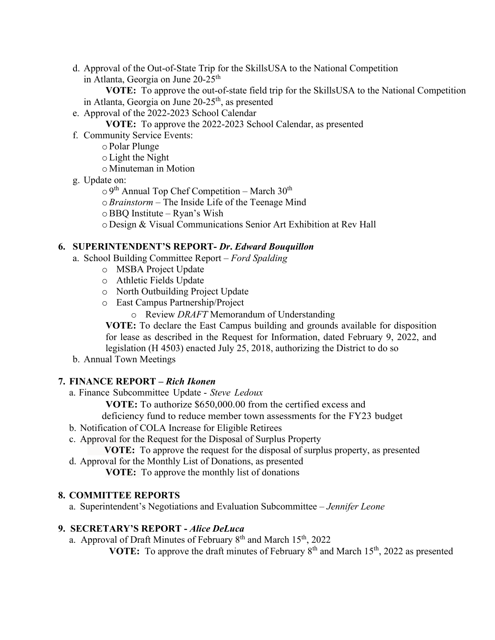d. Approval of the Out-of-State Trip for the SkillsUSA to the National Competition in Atlanta, Georgia on June  $20-25$ <sup>th</sup>

**VOTE:** To approve the out-of-state field trip for the SkillsUSA to the National Competition in Atlanta, Georgia on June  $20-25$ <sup>th</sup>, as presented

e. Approval of the 2022-2023 School Calendar

**VOTE:** To approve the 2022-2023 School Calendar, as presented

f. Community Service Events:

o Polar Plunge

- oLight the Night
- o Minuteman in Motion
- g. Update on:

 $\circ$  9<sup>th</sup> Annual Top Chef Competition – March 30<sup>th</sup>

- o*Brainstorm* The Inside Life of the Teenage Mind
- oBBQ Institute Ryan's Wish

o Design & Visual Communications Senior Art Exhibition at Rev Hall

## **6. SUPERINTENDENT'S REPORT-** *Dr***.** *Edward Bouquillon*

- a. School Building Committee Report *Ford Spalding*
	- o MSBA Project Update
	- o Athletic Fields Update
	- o North Outbuilding Project Update
	- o East Campus Partnership/Project
		- o Review *DRAFT* Memorandum of Understanding

**VOTE:** To declare the East Campus building and grounds available for disposition for lease as described in the Request for Information, dated February 9, 2022, and legislation (H 4503) enacted July 25, 2018, authorizing the District to do so

b. Annual Town Meetings

# **7. FINANCE REPORT** *– Rich Ikonen*

a. Finance Subcommittee Update - *Steve Ledoux*

**VOTE:** To authorize \$650,000.00 from the certified excess and

deficiency fund to reduce member town assessments for the FY23 budget

- b. Notification of COLA Increase for Eligible Retirees
- c. Approval for the Request for the Disposal of Surplus Property

 **VOTE:** To approve the request for the disposal of surplus property, as presented

d. Approval for the Monthly List of Donations, as presented

**VOTE:** To approve the monthly list of donations

# **8. COMMITTEE REPORTS**

a. Superintendent's Negotiations and Evaluation Subcommittee – *Jennifer Leone*

# **9. SECRETARY'S REPORT -** *Alice DeLuca*

a. Approval of Draft Minutes of February  $8<sup>th</sup>$  and March 15<sup>th</sup>, 2022

**VOTE:** To approve the draft minutes of February 8<sup>th</sup> and March 15<sup>th</sup>, 2022 as presented